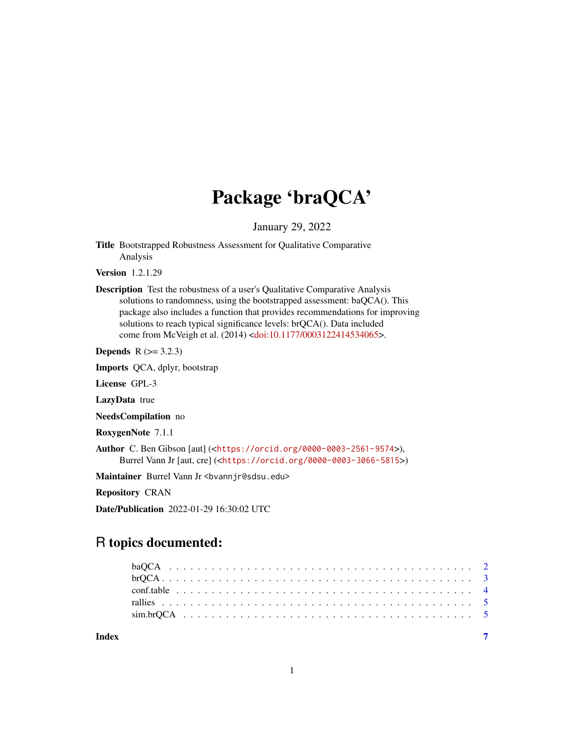## Package 'braQCA'

January 29, 2022

Title Bootstrapped Robustness Assessment for Qualitative Comparative Analysis

Version 1.2.1.29

Description Test the robustness of a user's Qualitative Comparative Analysis solutions to randomness, using the bootstrapped assessment: baQCA(). This package also includes a function that provides recommendations for improving solutions to reach typical significance levels: brQCA(). Data included come from McVeigh et al. (2014) [<doi:10.1177/0003122414534065>](https://doi.org/10.1177/0003122414534065).

**Depends**  $R$  ( $>= 3.2.3$ )

Imports QCA, dplyr, bootstrap

License GPL-3

LazyData true

NeedsCompilation no

RoxygenNote 7.1.1

Author C. Ben Gibson [aut] (<<https://orcid.org/0000-0003-2561-9574>>), Burrel Vann Jr [aut, cre] (<<https://orcid.org/0000-0003-3066-5815>>)

Maintainer Burrel Vann Jr <br />bvannjr@sdsu.edu>

Repository CRAN

Date/Publication 2022-01-29 16:30:02 UTC

### R topics documented:

| Index |  |  |  |  |  |  |  |  |  |  |  |  |  |  |  |  |  |  |  |  |
|-------|--|--|--|--|--|--|--|--|--|--|--|--|--|--|--|--|--|--|--|--|
|       |  |  |  |  |  |  |  |  |  |  |  |  |  |  |  |  |  |  |  |  |
|       |  |  |  |  |  |  |  |  |  |  |  |  |  |  |  |  |  |  |  |  |
|       |  |  |  |  |  |  |  |  |  |  |  |  |  |  |  |  |  |  |  |  |
|       |  |  |  |  |  |  |  |  |  |  |  |  |  |  |  |  |  |  |  |  |
|       |  |  |  |  |  |  |  |  |  |  |  |  |  |  |  |  |  |  |  |  |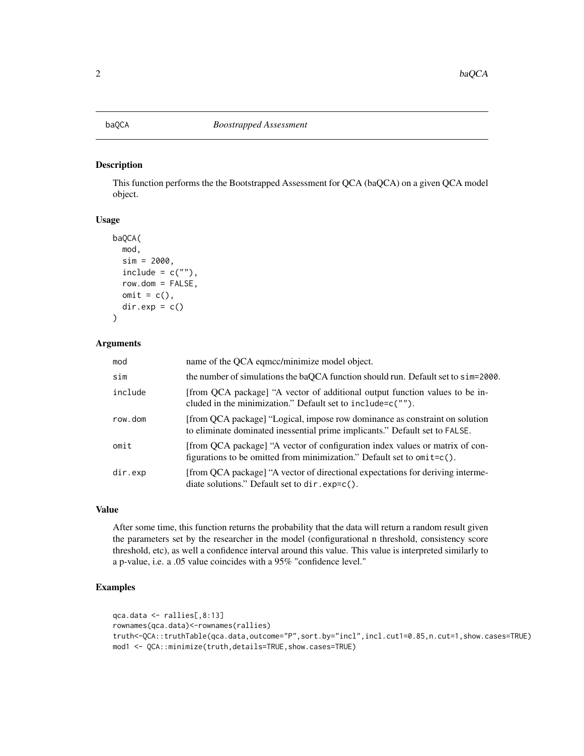#### <span id="page-1-0"></span>Description

This function performs the the Bootstrapped Assessment for QCA (baQCA) on a given QCA model object.

#### Usage

```
baQCA(
 mod,
  sim = 2000,include = c(""),
  row.dom = FALSE,
  omit = c(),
  dir.exp = c())
```
#### Arguments

| mod     | name of the QCA eqmcc/minimize model object.                                                                                                               |
|---------|------------------------------------------------------------------------------------------------------------------------------------------------------------|
| sim     | the number of simulations the baOCA function should run. Default set to sim=2000.                                                                          |
| include | [from QCA package] "A vector of additional output function values to be in-<br>cluded in the minimization." Default set to $include = c("")$ .             |
| row.dom | [from QCA package] "Logical, impose row dominance as constraint on solution<br>to eliminate dominated inessential prime implicants." Default set to FALSE. |
| omit    | [from QCA package] "A vector of configuration index values or matrix of con-<br>figurations to be omitted from minimization." Default set to omit=c().     |
| dir.exp | [from QCA package] "A vector of directional expectations for deriving interme-<br>diate solutions." Default set to $dir.\exp=c()$ .                        |

#### Value

After some time, this function returns the probability that the data will return a random result given the parameters set by the researcher in the model (configurational n threshold, consistency score threshold, etc), as well a confidence interval around this value. This value is interpreted similarly to a p-value, i.e. a .05 value coincides with a 95% "confidence level."

#### Examples

```
qca.data <- rallies[,8:13]
rownames(qca.data)<-rownames(rallies)
truth<-QCA::truthTable(qca.data,outcome="P",sort.by="incl",incl.cut1=0.85,n.cut=1,show.cases=TRUE)
mod1 <- QCA::minimize(truth,details=TRUE,show.cases=TRUE)
```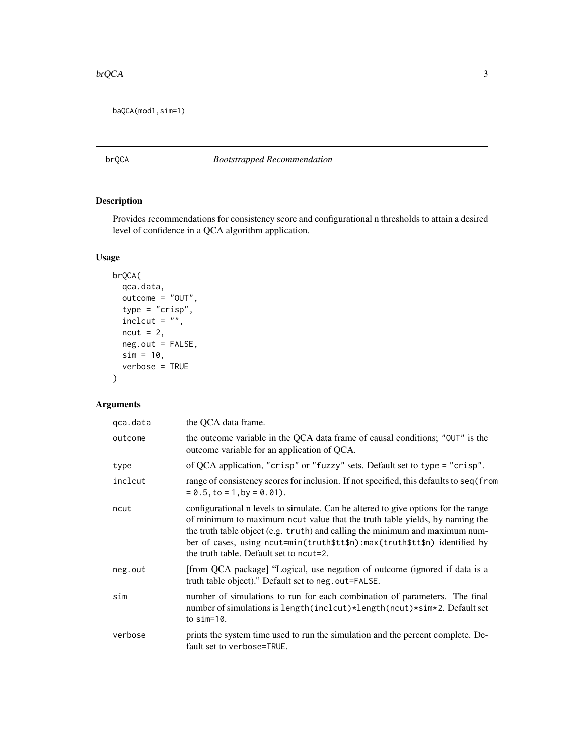```
baQCA(mod1,sim=1)
```
#### brQCA *Bootstrapped Recommendation*

#### Description

Provides recommendations for consistency score and configurational n thresholds to attain a desired level of confidence in a QCA algorithm application.

#### Usage

```
brQCA(
  qca.data,
  outcome = "OUT",
  type = "crisp",
  include \, t = \, \frac{m}{n},
  ncut = 2,
  neg.out = FALSE,
  sim = 10,
  verbose = TRUE
)
```
#### Arguments

| gca.data | the QCA data frame.                                                                                                                                                                                                                                                                                                                                                        |
|----------|----------------------------------------------------------------------------------------------------------------------------------------------------------------------------------------------------------------------------------------------------------------------------------------------------------------------------------------------------------------------------|
| outcome  | the outcome variable in the QCA data frame of causal conditions; "OUT" is the<br>outcome variable for an application of QCA.                                                                                                                                                                                                                                               |
| type     | of QCA application, "crisp" or "fuzzy" sets. Default set to type = "crisp".                                                                                                                                                                                                                                                                                                |
| inclcut  | range of consistency scores for inclusion. If not specified, this defaults to seq (from<br>$= 0.5$ , to $= 1$ , by $= 0.01$ ).                                                                                                                                                                                                                                             |
| ncut     | configurational n levels to simulate. Can be altered to give options for the range<br>of minimum to maximum neut value that the truth table yields, by naming the<br>the truth table object (e.g. truth) and calling the minimum and maximum num-<br>ber of cases, using ncut=min(truth\$tt\$n):max(truth\$tt\$n) identified by<br>the truth table. Default set to ncut=2. |
| neg.out  | [from QCA package] "Logical, use negation of outcome (ignored if data is a<br>truth table object)." Default set to neg. out=FALSE.                                                                                                                                                                                                                                         |
| sim      | number of simulations to run for each combination of parameters. The final<br>number of simulations is length(inclcut)*length(ncut)*sim*2. Default set<br>to $sim=10$ .                                                                                                                                                                                                    |
| verbose  | prints the system time used to run the simulation and the percent complete. De-<br>fault set to verbose=TRUE.                                                                                                                                                                                                                                                              |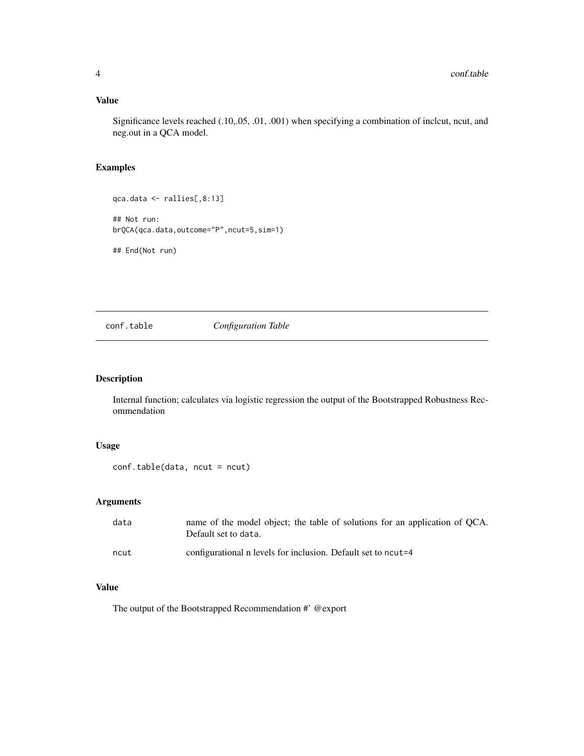#### <span id="page-3-0"></span>Value

Significance levels reached (.10,.05, .01, .001) when specifying a combination of inclcut, ncut, and neg.out in a QCA model.

#### Examples

```
qca.data <- rallies[,8:13]
## Not run:
```
brQCA(qca.data,outcome="P",ncut=5,sim=1)

## End(Not run)

conf.table *Configuration Table*

#### Description

Internal function; calculates via logistic regression the output of the Bootstrapped Robustness Recommendation

#### Usage

```
conf.table(data, ncut = ncut)
```
#### Arguments

| data | name of the model object; the table of solutions for an application of OCA.<br>Default set to data. |
|------|-----------------------------------------------------------------------------------------------------|
| ncut | configurational n levels for inclusion. Default set to nout=4                                       |

#### Value

The output of the Bootstrapped Recommendation #' @export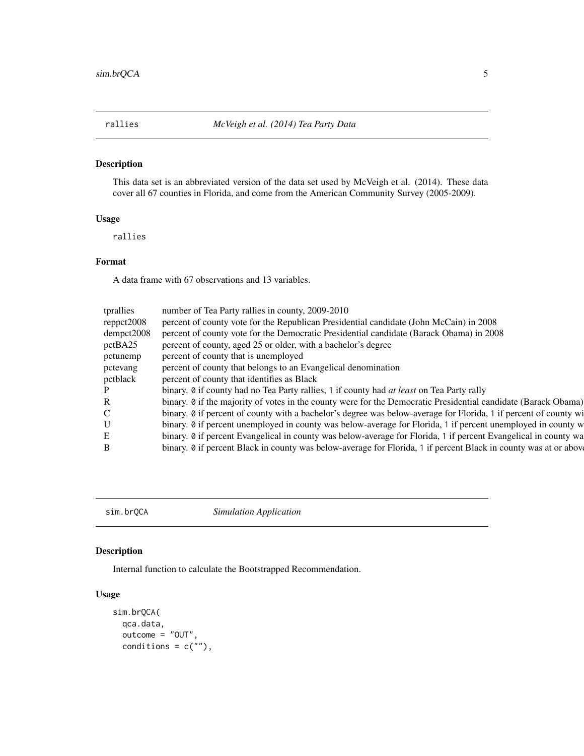<span id="page-4-0"></span>

#### Description

This data set is an abbreviated version of the data set used by McVeigh et al. (2014). These data cover all 67 counties in Florida, and come from the American Community Survey (2005-2009).

#### Usage

rallies

#### Format

A data frame with 67 observations and 13 variables.

| tprallies  | number of Tea Party rallies in county, 2009-2010                                                                 |
|------------|------------------------------------------------------------------------------------------------------------------|
| reppct2008 | percent of county vote for the Republican Presidential candidate (John McCain) in 2008                           |
| dempct2008 | percent of county vote for the Democratic Presidential candidate (Barack Obama) in 2008                          |
| pctBA25    | percent of county, aged 25 or older, with a bachelor's degree                                                    |
| pctunemp   | percent of county that is unemployed                                                                             |
| pctevang   | percent of county that belongs to an Evangelical denomination                                                    |
| pctblack   | percent of county that identifies as Black                                                                       |
|            | binary. 0 if county had no Tea Party railies, 1 if county had <i>at least</i> on Tea Party rally                 |
| R          | binary. 0 if the majority of votes in the county were for the Democratic Presidential candidate (Barack Obama)   |
|            | binary. 0 if percent of county with a bachelor's degree was below-average for Florida, 1 if percent of county wi |
| U          | binary. 0 if percent unemployed in county was below-average for Florida, 1 if percent unemployed in county w     |
| Ε          | binary. 0 if percent Evangelical in county was below-average for Florida, 1 if percent Evangelical in county wa  |
| B          | binary. 0 if percent Black in county was below-average for Florida, 1 if percent Black in county was at or abov  |

sim.brQCA *Simulation Application*

#### Description

Internal function to calculate the Bootstrapped Recommendation.

#### Usage

```
sim.brQCA(
 qca.data,
 outcome = "OUT",
 conditions = c(""),
```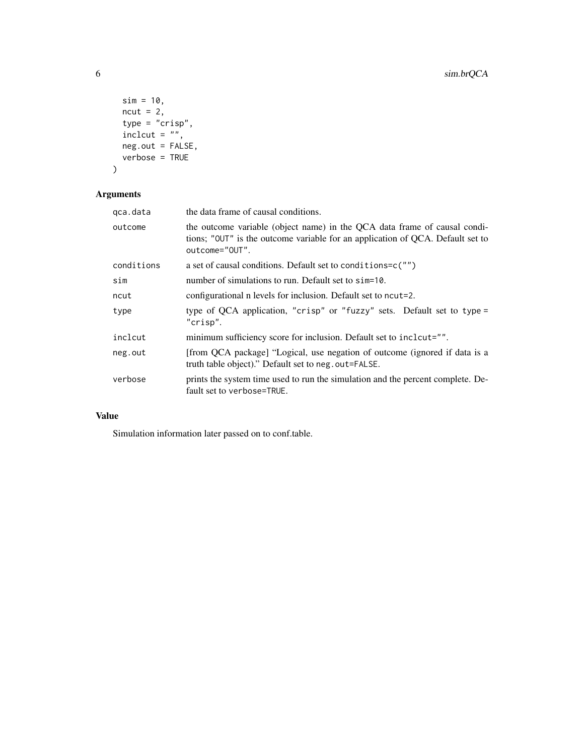```
sim = 10,
 ncut = 2,
  type = "crisp",
  inclcut = ",
  neg.out = FALSE,
 verbose = TRUE
)
```
#### Arguments

| qca.data                                                    | the data frame of causal conditions.                                                                                                                                          |  |  |  |  |  |
|-------------------------------------------------------------|-------------------------------------------------------------------------------------------------------------------------------------------------------------------------------|--|--|--|--|--|
| outcome                                                     | the outcome variable (object name) in the QCA data frame of causal condi-<br>tions; "OUT" is the outcome variable for an application of QCA. Default set to<br>outcome="OUT". |  |  |  |  |  |
| conditions                                                  | a set of causal conditions. Default set to conditions=c("")                                                                                                                   |  |  |  |  |  |
| sim<br>number of simulations to run. Default set to sim=10. |                                                                                                                                                                               |  |  |  |  |  |
| ncut                                                        | configurational n levels for inclusion. Default set to nout=2.                                                                                                                |  |  |  |  |  |
| type                                                        | type of QCA application, "crisp" or "fuzzy" sets. Default set to type =<br>"crisp".                                                                                           |  |  |  |  |  |
| inclcut                                                     | minimum sufficiency score for inclusion. Default set to inclout="".                                                                                                           |  |  |  |  |  |
| neg.out                                                     | [from QCA package] "Logical, use negation of outcome (ignored if data is a<br>truth table object)." Default set to neg. out=FALSE.                                            |  |  |  |  |  |
| verbose                                                     | prints the system time used to run the simulation and the percent complete. De-<br>fault set to verbose=TRUE.                                                                 |  |  |  |  |  |

#### Value

Simulation information later passed on to conf.table.